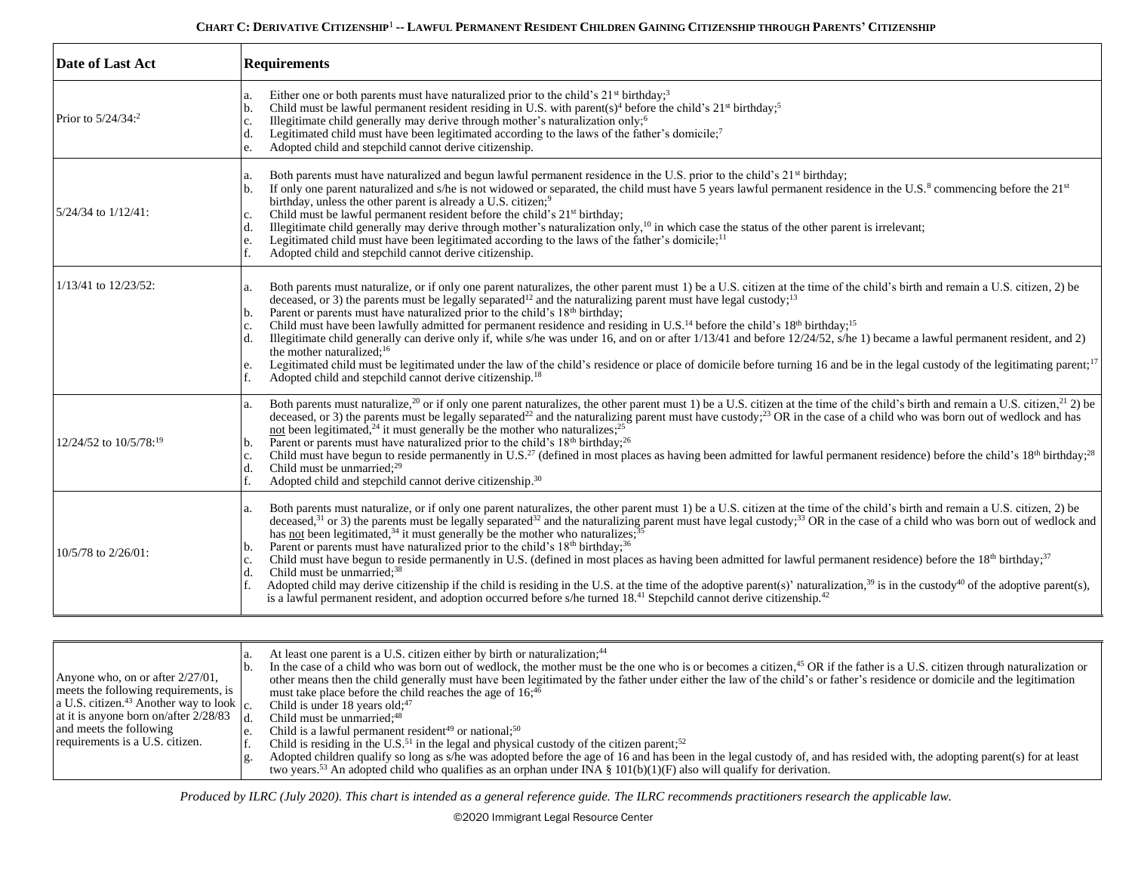## CHART C: DERIVATIVE CITIZENSHIP<sup>1</sup> -- LAWFUL PERMANENT RESIDENT CHILDREN GAINING CITIZENSHIP THROUGH PARENTS' CITIZENSHIP

| Date of Last Act                | <b>Requirements</b>                                                                                                                                                                                                                                                                                                                                                                                                                                                                                                                                                                                                                                                                                                                                                                                                                                                                                                                                                                                                                                                                                                                                                                                                                                          |
|---------------------------------|--------------------------------------------------------------------------------------------------------------------------------------------------------------------------------------------------------------------------------------------------------------------------------------------------------------------------------------------------------------------------------------------------------------------------------------------------------------------------------------------------------------------------------------------------------------------------------------------------------------------------------------------------------------------------------------------------------------------------------------------------------------------------------------------------------------------------------------------------------------------------------------------------------------------------------------------------------------------------------------------------------------------------------------------------------------------------------------------------------------------------------------------------------------------------------------------------------------------------------------------------------------|
| Prior to $5/24/34$ <sup>2</sup> | Either one or both parents must have naturalized prior to the child's 21 <sup>st</sup> birthday; <sup>3</sup><br>a.<br>Child must be lawful permanent resident residing in U.S. with parent(s) <sup>4</sup> before the child's $21st$ birthday; <sup>5</sup><br>b.<br>Illegitimate child generally may derive through mother's naturalization only; <sup>6</sup><br>c.<br>Legitimated child must have been legitimated according to the laws of the father's domicile; <sup>7</sup><br>d.<br>Adopted child and stepchild cannot derive citizenship.<br>e.                                                                                                                                                                                                                                                                                                                                                                                                                                                                                                                                                                                                                                                                                                    |
| $15/24/34$ to $1/12/41$ :       | Both parents must have naturalized and begun lawful permanent residence in the U.S. prior to the child's 21st birthday;<br>a.<br>If only one parent naturalized and s/he is not widowed or separated, the child must have 5 years lawful permanent residence in the U.S. <sup>8</sup> commencing before the 21 <sup>st</sup><br>$\mathbf{b}$ .<br>birthday, unless the other parent is already a U.S. citizen; <sup>9</sup><br>Child must be lawful permanent resident before the child's 21 <sup>st</sup> birthday;<br>c.<br>Illegitimate child generally may derive through mother's naturalization only, <sup>10</sup> in which case the status of the other parent is irrelevant;<br>d.<br>Legitimated child must have been legitimated according to the laws of the father's domicile; <sup>11</sup><br>e.<br>Adopted child and stepchild cannot derive citizenship.                                                                                                                                                                                                                                                                                                                                                                                    |
| 1/13/41 to 12/23/52:            | Both parents must naturalize, or if only one parent naturalizes, the other parent must 1) be a U.S. citizen at the time of the child's birth and remain a U.S. citizen, 2) be<br>a.<br>deceased, or 3) the parents must be legally separated <sup>12</sup> and the naturalizing parent must have legal custody; <sup>13</sup><br>Parent or parents must have naturalized prior to the child's 18 <sup>th</sup> birthday;<br>b.<br>Child must have been lawfully admitted for permanent residence and residing in U.S. <sup>14</sup> before the child's 18 <sup>th</sup> birthday; <sup>15</sup><br>$\mathbf{c}$ .<br>Illegitimate child generally can derive only if, while s/he was under 16, and on or after 1/13/41 and before 12/24/52, s/he 1) became a lawful permanent resident, and 2)<br>d.<br>the mother naturalized: <sup>16</sup><br>Legitimated child must be legitimated under the law of the child's residence or place of domicile before turning 16 and be in the legal custody of the legitimating parent; <sup>17</sup><br>e.<br>Adopted child and stepchild cannot derive citizenship. <sup>18</sup>                                                                                                                                     |
| 12/24/52 to 10/5/78:19          | Both parents must naturalize, <sup>20</sup> or if only one parent naturalizes, the other parent must 1) be a U.S. citizen at the time of the child's birth and remain a U.S. citizen, <sup>21</sup> 2) be deceased, or 3) the parents must be leg<br>a.<br>not been legitimated, <sup>24</sup> it must generally be the mother who naturalizes; <sup>25</sup><br>Parent or parents must have naturalized prior to the child's $18th$ birthday; <sup>26</sup><br>b.<br>Child must have begun to reside permanently in U.S. <sup>27</sup> (defined in most places as having been admitted for lawful permanent residence) before the child's $18th$ birthday; <sup>28</sup><br>c.<br>Child must be unmarried; <sup>29</sup><br>d.<br>Adopted child and stepchild cannot derive citizenship. <sup>30</sup>                                                                                                                                                                                                                                                                                                                                                                                                                                                      |
| 10/5/78 to 2/26/01:             | Both parents must naturalize, or if only one parent naturalizes, the other parent must 1) be a U.S. citizen at the time of the child's birth and remain a U.S. citizen, 2) be<br>a.<br>deceased, <sup>31</sup> or 3) the parents must be legally separated <sup>32</sup> and the naturalizing parent must have legal custody; <sup>33</sup> OR in the case of a child who was born out of wedlock and<br>has <u>not</u> been legitimated, <sup>34</sup> it must generally be the mother who naturalizes, <sup>35</sup><br>Parent or parents must have naturalized prior to the child's 18 <sup>th</sup> birthday; <sup>36</sup><br>b.<br>Child must have begun to reside permanently in U.S. (defined in most places as having been admitted for lawful permanent residence) before the $18th$ birthday; <sup>37</sup><br>$\mathbf{c}$ .<br>Child must be unmarried; <sup>38</sup><br>d.<br>Adopted child may derive citizenship if the child is residing in the U.S. at the time of the adoptive parent(s)' naturalization, <sup>39</sup> is in the custody <sup>40</sup> of the adoptive parent(s),<br>f.<br>is a lawful permanent resident, and adoption occurred before s/he turned 18. <sup>41</sup> Stepchild cannot derive citizenship. <sup>42</sup> |

| Anyone who, on or after $2/27/01$ ,<br>meets the following requirements, is<br>a U.S. citizen. <sup>43</sup> Another way to look $\vert_{c}$ .<br>at it is anyone born on/after $2/28/83$<br>and meets the following<br>requirements is a U.S. citizen. | At least one parent is a U.S. citizen either by birth or naturalization; <sup>44</sup><br>In the case of a child who was born out of wedlock, the mother must be the one who is or becomes a citizen, <sup>45</sup> OR if the father is a U.S. citizen through naturalization or<br>$\cdot$ b.<br>other means then the child generally must have been legitimated by the father under either the law of the child's or father's residence or domicile and the legitimation<br>must take place before the child reaches the age of 16; <sup>46</sup><br>Child is under 18 years old; <sup>47</sup><br>Child must be unmarried: <sup>48</sup><br>$\mathbf{d}$ .<br>Child is a lawful permanent resident <sup>49</sup> or national; <sup>50</sup><br>e.<br>Child is residing in the U.S. <sup>51</sup> in the legal and physical custody of the citizen parent; <sup>52</sup><br>Adopted children qualify so long as s/he was adopted before the age of 16 and has been in the legal custody of, and has resided with, the adopting parent(s) for at least<br>two years. <sup>53</sup> An adopted child who qualifies as an orphan under INA § 101(b)(1)(F) also will qualify for derivation. |
|---------------------------------------------------------------------------------------------------------------------------------------------------------------------------------------------------------------------------------------------------------|--------------------------------------------------------------------------------------------------------------------------------------------------------------------------------------------------------------------------------------------------------------------------------------------------------------------------------------------------------------------------------------------------------------------------------------------------------------------------------------------------------------------------------------------------------------------------------------------------------------------------------------------------------------------------------------------------------------------------------------------------------------------------------------------------------------------------------------------------------------------------------------------------------------------------------------------------------------------------------------------------------------------------------------------------------------------------------------------------------------------------------------------------------------------------------------------|
|---------------------------------------------------------------------------------------------------------------------------------------------------------------------------------------------------------------------------------------------------------|--------------------------------------------------------------------------------------------------------------------------------------------------------------------------------------------------------------------------------------------------------------------------------------------------------------------------------------------------------------------------------------------------------------------------------------------------------------------------------------------------------------------------------------------------------------------------------------------------------------------------------------------------------------------------------------------------------------------------------------------------------------------------------------------------------------------------------------------------------------------------------------------------------------------------------------------------------------------------------------------------------------------------------------------------------------------------------------------------------------------------------------------------------------------------------------------|

*Produced by ILRC (July 2020). This chart is intended as a general reference guide. The ILRC recommends practitioners research the applicable law.*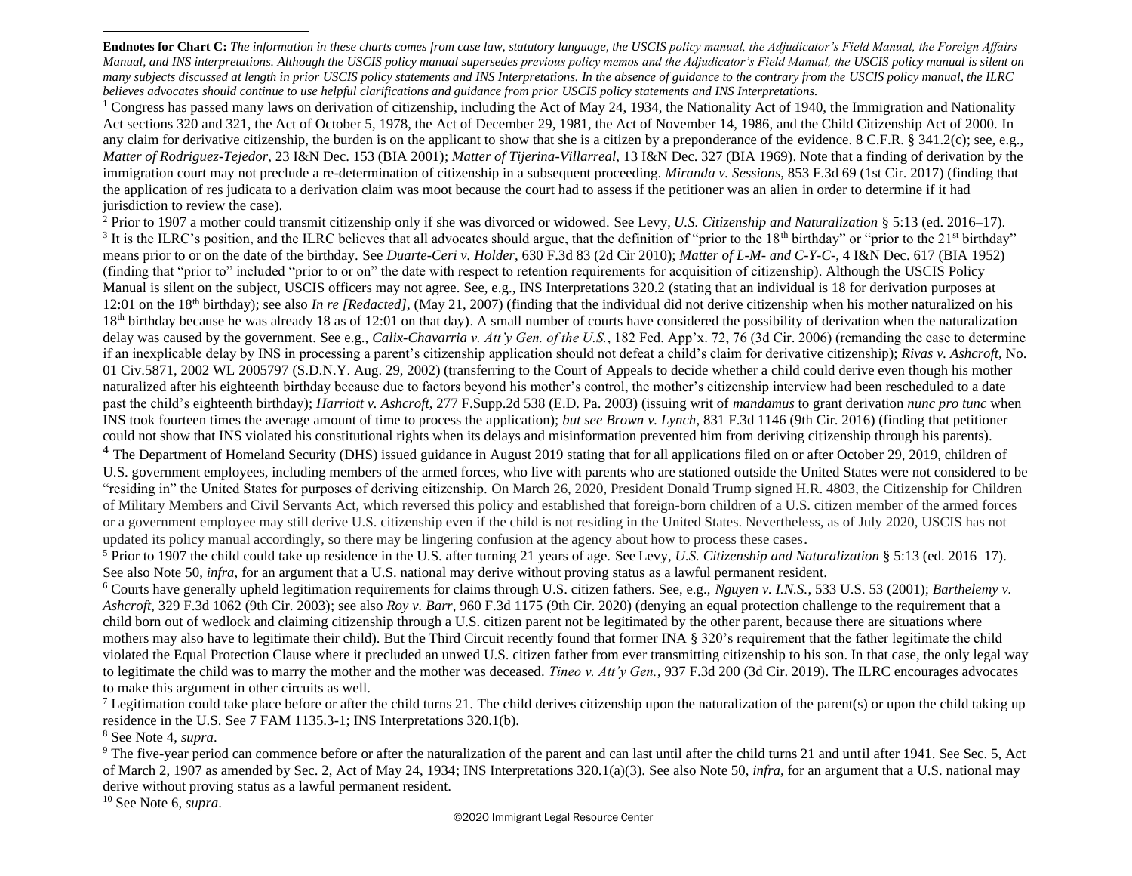**Endnotes for Chart C:** *The information in these charts comes from case law, statutory language, the USCIS policy manual, the Adjudicator's Field Manual, the Foreign Affairs Manual, and INS interpretations. Although the USCIS policy manual supersedes previous policy memos and the Adjudicator's Field Manual, the USCIS policy manual is silent on many subjects discussed at length in prior USCIS policy statements and INS Interpretations. In the absence of guidance to the contrary from the USCIS policy manual, the ILRC believes advocates should continue to use helpful clarifications and guidance from prior USCIS policy statements and INS Interpretations.*

<sup>1</sup> Congress has passed many laws on derivation of citizenship, including the Act of May 24, 1934, the Nationality Act of 1940, the Immigration and Nationality Act sections 320 and 321, the Act of October 5, 1978, the Act of December 29, 1981, the Act of November 14, 1986, and the Child Citizenship Act of 2000. In any claim for derivative citizenship, the burden is on the applicant to show that she is a citizen by a preponderance of the evidence. 8 C.F.R. § 341.2(c); see, e.g., *Matter of Rodriguez-Tejedor*[, 23 I&N Dec. 153 \(BIA 2001\);](https://1.next.westlaw.com/Link/Document/FullText?findType=Y&serNum=2001666269&pubNum=0001650&originatingDoc=I538a1c348c9611e39ac8bab74931929c&refType=CA&originationContext=document&transitionType=DocumentItem&contextData=(sc.UserEnteredCitation)) *Matter of Tijerina-Villarreal*[, 13 I&N Dec. 327 \(BIA 1969\).](https://1.next.westlaw.com/Link/Document/FullText?findType=Y&serNum=1969014524&pubNum=0001650&originatingDoc=I538a1c348c9611e39ac8bab74931929c&refType=CA&originationContext=document&transitionType=DocumentItem&contextData=(sc.UserEnteredCitation)) Note that a finding of derivation by the immigration court may not preclude a re-determination of citizenship in a subsequent proceeding. *Miranda v. Sessions*, 853 F.3d 69 (1st Cir. 2017) (finding that the application of res judicata to a derivation claim was moot because the court had to assess if the petitioner was an alien in order to determine if it had jurisdiction to review the case).

<sup>2</sup> Prior to 1907 a mother could transmit citizenship only if she was divorced or widowed. See Levy, *U.S. Citizenship and Naturalization* § 5:13 (ed. 2016–17). <sup>3</sup> It is the ILRC's position, and the ILRC believes that all advocates should argue, that the definition of "prior to the 18<sup>th</sup> birthday" or "prior to the 21<sup>st</sup> birthday" means prior to or on the date of the birthday. See *Duarte-Ceri v. Holder*, 630 F.3d 83 (2d Cir 2010); *Matter of L-M- and C-Y-C-*, 4 I&N Dec. 617 (BIA 1952) (finding that "prior to" included "prior to or on" the date with respect to retention requirements for acquisition of citizenship). Although the USCIS Policy Manual is silent on the subject, USCIS officers may not agree. See, e.g., INS Interpretations 320.2 (stating that an individual is 18 for derivation purposes at 12:01 on the 18th birthday); see also *In re [Redacted],* (May 21, 2007) (finding that the individual did not derive citizenship when his mother naturalized on his 18<sup>th</sup> birthday because he was already 18 as of 12:01 on that day). A small number of courts have considered the possibility of derivation when the naturalization delay was caused by the government. See e.g., *Calix-Chavarria v. Att'y Gen. of the U.S.*, 182 Fed. App'x. 72, 76 (3d Cir. 2006) (remanding the case to determine if an inexplicable delay by INS in processing a parent's citizenship application should not defeat a child's claim for derivative citizenship); *Rivas v. Ashcroft*, No. 01 Civ.5871, 2002 WL 2005797 (S.D.N.Y. Aug. 29, 2002) (transferring to the Court of Appeals to decide whether a child could derive even though his mother naturalized after his eighteenth birthday because due to factors beyond his mother's control, the mother's citizenship interview had been rescheduled to a date past the child's eighteenth birthday); *Harriott v. Ashcroft*, 277 F.Supp.2d 538 (E.D. Pa. 2003) (issuing writ of *mandamus* to grant derivation *nunc pro tunc* when INS took fourteen times the average amount of time to process the application); *but see Brown v. Lynch*, 831 F.3d 1146 (9th Cir. 2016) (finding that petitioner could not show that INS violated his constitutional rights when its delays and misinformation prevented him from deriving citizenship through his parents).

<sup>4</sup> The Department of Homeland Security (DHS) issued guidance in August 2019 stating that for all applications filed on or after October 29, 2019, children of U.S. government employees, including members of the armed forces, who live with parents who are stationed outside the United States were not considered to be "residing in" the United States for purposes of deriving citizenship. On March 26, 2020, President Donald Trump signed H.R. 4803, the Citizenship for Children of Military Members and Civil Servants Act, which reversed this policy and established that foreign-born children of a U.S. citizen member of the armed forces or a government employee may still derive U.S. citizenship even if the child is not residing in the United States. Nevertheless, as of July 2020, USCIS has not updated its policy manual accordingly, so there may be lingering confusion at the agency about how to process these cases.

<sup>5</sup> Prior to 1907 the child could take up residence in the U.S. after turning 21 years of age. See Levy, *U.S. Citizenship and Naturalization* § 5:13 (ed. 2016–17). See also Note 50, *infra*, for an argument that a U.S. national may derive without proving status as a lawful permanent resident.

<sup>6</sup> Courts have generally upheld legitimation requirements for claims through U.S. citizen fathers. See, e.g., *Nguyen v. I.N.S.*, 533 U.S. 53 (2001); *Barthelemy v. Ashcroft*, 329 F.3d 1062 (9th Cir. 2003); see also *Roy v. Barr*, 960 F.3d 1175 (9th Cir. 2020) (denying an equal protection challenge to the requirement that a child born out of wedlock and claiming citizenship through a U.S. citizen parent not be legitimated by the other parent, because there are situations where mothers may also have to legitimate their child). But the Third Circuit recently found that former INA § 320's requirement that the father legitimate the child violated the Equal Protection Clause where it precluded an unwed U.S. citizen father from ever transmitting citizenship to his son. In that case, the only legal way to legitimate the child was to marry the mother and the mother was deceased. *Tineo v. Att'y Gen.*, 937 F.3d 200 (3d Cir. 2019). The ILRC encourages advocates to make this argument in other circuits as well.

<sup>7</sup> Legitimation could take place before or after the child turns 21. The child derives citizenship upon the naturalization of the parent(s) or upon the child taking up residence in the U.S. See 7 FAM 1135.3-1; INS Interpretations 320.1(b).

<sup>8</sup> See Note 4, *supra*.

<sup>9</sup> The five-year period can commence before or after the naturalization of the parent and can last until after the child turns 21 and until after 1941. See Sec. 5, Act of March 2, 1907 as amended by Sec. 2, Act of May 24, 1934; INS Interpretations 320.1(a)(3). See also Note 50, *infra*, for an argument that a U.S. national may derive without proving status as a lawful permanent resident.

<sup>10</sup> See Note 6, *supra*.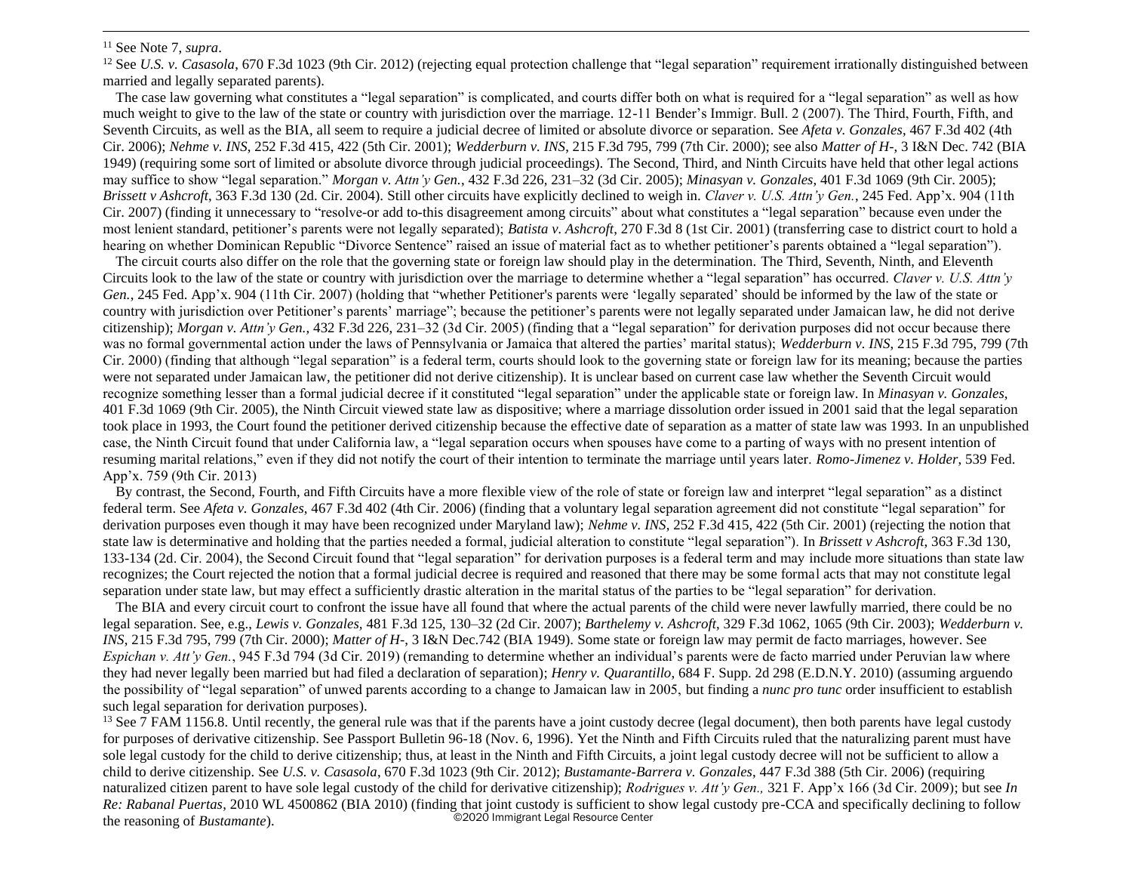## <sup>11</sup> See Note 7, *supra*.

<sup>12</sup> See *U.S. v. Casasola*, 670 F.3d 1023 (9th Cir. 2012) (rejecting equal protection challenge that "legal separation" requirement irrationally distinguished between married and legally separated parents).

The case law governing what constitutes a "legal separation" is complicated, and courts differ both on what is required for a "legal separation" as well as how much weight to give to the law of the state or country with jurisdiction over the marriage. 12-11 Bender's Immigr. Bull. 2 (2007). The Third, Fourth, Fifth, and Seventh Circuits, as well as the BIA, all seem to require a judicial decree of limited or absolute divorce or separation. See *Afeta v. Gonzales*, 467 F.3d 402 (4th Cir. 2006); *Nehme v. INS*, 252 F.3d 415, 422 (5th Cir. 2001); *Wedderburn v. INS*, 215 F.3d 795, 799 (7th Cir. 2000); see also *Matter of H-*, 3 I&N Dec. 742 (BIA 1949) (requiring some sort of limited or absolute divorce through judicial proceedings). The Second, Third, and Ninth Circuits have held that other legal actions may suffice to show "legal separation." *Morgan v. Attn'y Gen.*, 432 F.3d 226, 231–32 (3d Cir. 2005); *Minasyan v. Gonzales*, 401 F.3d 1069 (9th Cir. 2005); *Brissett v Ashcroft*, 363 F.3d 130 (2d. Cir. 2004). Still other circuits have explicitly declined to weigh in. *Claver v. U.S. Attn'y Gen.*, 245 Fed. App'x. 904 (11th Cir. 2007) (finding it unnecessary to "resolve-or add to-this disagreement among circuits" about what constitutes a "legal separation" because even under the most lenient standard, petitioner's parents were not legally separated); *Batista v. Ashcroft*, 270 F.3d 8 (1st Cir. 2001) (transferring case to district court to hold a hearing on whether Dominican Republic "Divorce Sentence" raised an issue of material fact as to whether petitioner's parents obtained a "legal separation").

The circuit courts also differ on the role that the governing state or foreign law should play in the determination. The Third, Seventh, Ninth, and Eleventh Circuits look to the law of the state or country with jurisdiction over the marriage to determine whether a "legal separation" has occurred. *Claver v. U.S. Attn'y Gen.*, 245 Fed. App'x. 904 (11th Cir. 2007) (holding that "whether Petitioner's parents were 'legally separated' should be informed by the law of the state or country with jurisdiction over Petitioner's parents' marriage"; because the petitioner's parents were not legally separated under Jamaican law, he did not derive citizenship); *Morgan v. Attn'y Gen.*, 432 F.3d 226, 231–32 (3d Cir. 2005) (finding that a "legal separation" for derivation purposes did not occur because there was no formal governmental action under the laws of Pennsylvania or Jamaica that altered the parties' marital status); *Wedderburn v. INS*, 215 F.3d 795, 799 (7th Cir. 2000) (finding that although "legal separation" is a federal term, courts should look to the governing state or foreign law for its meaning; because the parties were not separated under Jamaican law, the petitioner did not derive citizenship). It is unclear based on current case law whether the Seventh Circuit would recognize something lesser than a formal judicial decree if it constituted "legal separation" under the applicable state or foreign law. In *Minasyan v. Gonzales*, 401 F.3d 1069 (9th Cir. 2005), the Ninth Circuit viewed state law as dispositive; where a marriage dissolution order issued in 2001 said that the legal separation took place in 1993, the Court found the petitioner derived citizenship because the effective date of separation as a matter of state law was 1993. In an unpublished case, the Ninth Circuit found that under California law, a "legal separation occurs when spouses have come to a parting of ways with no present intention of resuming marital relations," even if they did not notify the court of their intention to terminate the marriage until years later. *Romo-Jimenez v. Holder*, 539 Fed. App'x. 759 (9th Cir. 2013)

By contrast, the Second, Fourth, and Fifth Circuits have a more flexible view of the role of state or foreign law and interpret "legal separation" as a distinct federal term. See *Afeta v. Gonzales*, 467 F.3d 402 (4th Cir. 2006) (finding that a voluntary legal separation agreement did not constitute "legal separation" for derivation purposes even though it may have been recognized under Maryland law); *Nehme v. INS*, 252 F.3d 415, 422 (5th Cir. 2001) (rejecting the notion that state law is determinative and holding that the parties needed a formal, judicial alteration to constitute "legal separation"). In *Brissett v Ashcroft*, 363 F.3d 130, 133-134 (2d. Cir. 2004), the Second Circuit found that "legal separation" for derivation purposes is a federal term and may include more situations than state law recognizes; the Court rejected the notion that a formal judicial decree is required and reasoned that there may be some formal acts that may not constitute legal separation under state law, but may effect a sufficiently drastic alteration in the marital status of the parties to be "legal separation" for derivation.

The BIA and every circuit court to confront the issue have all found that where the actual parents of the child were never lawfully married, there could be no legal separation. See, e.g., *Lewis v. Gonzales,* 481 F.3d 125, 130–32 (2d Cir. 2007); *Barthelemy v. Ashcroft*, 329 F.3d 1062, 1065 (9th Cir. 2003); *Wedderburn v. INS*, 215 F.3d 795, 799 (7th Cir. 2000); *Matter of H-*, 3 I&N Dec.742 (BIA 1949). Some state or foreign law may permit de facto marriages, however. See *Espichan v. Att'y Gen.*, 945 F.3d 794 (3d Cir. 2019) (remanding to determine whether an individual's parents were de facto married under Peruvian law where they had never legally been married but had filed a declaration of separation); *Henry v. Quarantillo*, 684 F. Supp. 2d 298 (E.D.N.Y. 2010) (assuming arguendo the possibility of "legal separation" of unwed parents according to a change to Jamaican law in 2005, but finding a *nunc pro tunc* order insufficient to establish such legal separation for derivation purposes).

©2020 Immigrant Legal Resource Center <sup>13</sup> See 7 FAM 1156.8. Until recently, the general rule was that if the parents have a joint custody decree (legal document), then both parents have legal custody for purposes of derivative citizenship. See Passport Bulletin 96-18 (Nov. 6, 1996). Yet the Ninth and Fifth Circuits ruled that the naturalizing parent must have sole legal custody for the child to derive citizenship; thus, at least in the Ninth and Fifth Circuits, a joint legal custody decree will not be sufficient to allow a child to derive citizenship. See *U.S. v. Casasola*, 670 F.3d 1023 (9th Cir. 2012); *Bustamante-Barrera v. Gonzales*, 447 F.3d 388 (5th Cir. 2006) (requiring naturalized citizen parent to have sole legal custody of the child for derivative citizenship); *Rodrigues v. Att'y Gen.,* 321 F. App'x 166 (3d Cir. 2009); but see *In Re: Rabanal Puertas*, 2010 WL 4500862 (BIA 2010) (finding that joint custody is sufficient to show legal custody pre-CCA and specifically declining to follow the reasoning of *Bustamante*).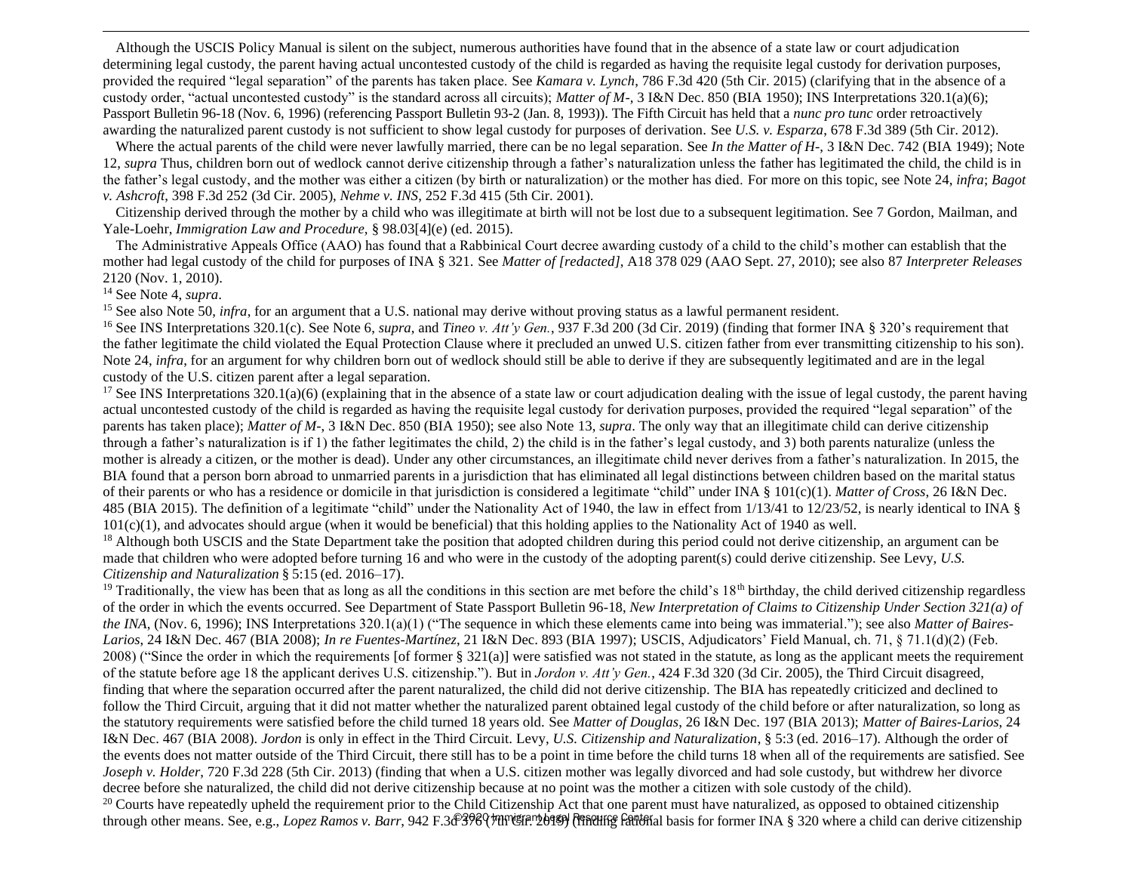Although the USCIS Policy Manual is silent on the subject, numerous authorities have found that in the absence of a state law or court adjudication determining legal custody, the parent having actual uncontested custody of the child is regarded as having the requisite legal custody for derivation purposes, provided the required "legal separation" of the parents has taken place. See *Kamara v. Lynch*, 786 F.3d 420 (5th Cir. 2015) (clarifying that in the absence of a custody order, "actual uncontested custody" is the standard across all circuits); *Matter of M-,* 3 I&N Dec. 850 (BIA 1950); INS Interpretations 320.1(a)(6); Passport Bulletin 96-18 (Nov. 6, 1996) (referencing Passport Bulletin 93-2 (Jan. 8, 1993)). The Fifth Circuit has held that a *nunc pro tunc* order retroactively awarding the naturalized parent custody is not sufficient to show legal custody for purposes of derivation. See *U.S. v. Esparza*, 678 F.3d 389 (5th Cir. 2012).

Where the actual parents of the child were never lawfully married, there can be no legal separation. See *In the Matter of H-*, 3 I&N Dec. 742 (BIA 1949); Note 12, *supra* Thus, children born out of wedlock cannot derive citizenship through a father's naturalization unless the father has legitimated the child, the child is in the father's legal custody, and the mother was either a citizen (by birth or naturalization) or the mother has died. For more on this topic, see Note 24, *infra*; *Bagot v. Ashcroft*, 398 F.3d 252 (3d Cir. 2005), *Nehme v. INS*, 252 F.3d 415 (5th Cir. 2001).

Citizenship derived through the mother by a child who was illegitimate at birth will not be lost due to a subsequent legitimation. See 7 Gordon, Mailman, and Yale-Loehr, *Immigration Law and Procedure,* § 98.03[4](e) (ed. 2015).

The Administrative Appeals Office (AAO) has found that a Rabbinical Court decree awarding custody of a child to the child's mother can establish that the mother had legal custody of the child for purposes of INA § 321. See *Matter of [redacted]*, A18 378 029 (AAO Sept. 27, 2010); see also 87 *Interpreter Releases* 2120 (Nov. 1, 2010).

<sup>14</sup> See Note 4, *supra*.

<sup>15</sup> See also Note 50, *infra*, for an argument that a U.S. national may derive without proving status as a lawful permanent resident.

<sup>16</sup> See INS Interpretations 320.1(c). See Note 6, *supra*, and *Tineo v. Att'y Gen.*, 937 F.3d 200 (3d Cir. 2019) (finding that former INA § 320's requirement that the father legitimate the child violated the Equal Protection Clause where it precluded an unwed U.S. citizen father from ever transmitting citizenship to his son). Note 24, *infra*, for an argument for why children born out of wedlock should still be able to derive if they are subsequently legitimated and are in the legal custody of the U.S. citizen parent after a legal separation.

<sup>17</sup> See INS Interpretations  $320.1(a)(6)$  (explaining that in the absence of a state law or court adjudication dealing with the issue of legal custody, the parent having actual uncontested custody of the child is regarded as having the requisite legal custody for derivation purposes, provided the required "legal separation" of the parents has taken place); *Matter of M-*, 3 I&N Dec. 850 (BIA 1950); see also Note 13, *supra*. The only way that an illegitimate child can derive citizenship through a father's naturalization is if 1) the father legitimates the child, 2) the child is in the father's legal custody, and 3) both parents naturalize (unless the mother is already a citizen, or the mother is dead). Under any other circumstances, an illegitimate child never derives from a father's naturalization. In 2015, the BIA found that a person born abroad to unmarried parents in a jurisdiction that has eliminated all legal distinctions between children based on the marital status of their parents or who has a residence or domicile in that jurisdiction is considered a legitimate "child" under INA § 101(c)(1). *Matter of Cross*, 26 I&N Dec. 485 (BIA 2015). The definition of a legitimate "child" under the Nationality Act of 1940, the law in effect from 1/13/41 to 12/23/52, is nearly identical to INA § 101(c)(1), and advocates should argue (when it would be beneficial) that this holding applies to the Nationality Act of 1940 as well.

<sup>18</sup> Although both USCIS and the State Department take the position that adopted children during this period could not derive citizenship, an argument can be made that children who were adopted before turning 16 and who were in the custody of the adopting parent(s) could derive citizenship. See Levy, *U.S. Citizenship and Naturalization* § 5:15 (ed. 2016–17).

<sup>19</sup> Traditionally, the view has been that as long as all the conditions in this section are met before the child's  $18<sup>th</sup>$  birthday, the child derived citizenship regardless of the order in which the events occurred. See Department of State Passport Bulletin 96-18, *New Interpretation of Claims to Citizenship Under Section 321(a) of the INA*, (Nov. 6, 1996); INS Interpretations 320.1(a)(1) ("The sequence in which these elements came into being was immaterial."); see also *Matter of Baires-Larios*, 24 I&N Dec. 467 (BIA 2008); *In re Fuentes-Martínez*, 21 I&N Dec. 893 (BIA 1997); USCIS, Adjudicators' Field Manual, ch. 71, § 71.1(d)(2) (Feb. 2008) ("Since the order in which the requirements [of former § 321(a)] were satisfied was not stated in the statute, as long as the applicant meets the requirement of the statute before age 18 the applicant derives U.S. citizenship."). But in *Jordon v. Att'y Gen.*, 424 F.3d 320 (3d Cir. 2005), the Third Circuit disagreed, finding that where the separation occurred after the parent naturalized, the child did not derive citizenship. The BIA has repeatedly criticized and declined to follow the Third Circuit, arguing that it did not matter whether the naturalized parent obtained legal custody of the child before or after naturalization, so long as the statutory requirements were satisfied before the child turned 18 years old. See *Matter of Douglas*, 26 I&N Dec. 197 (BIA 2013); *Matter of Baires-Larios*, 24 I&N Dec. 467 (BIA 2008). *Jordon* is only in effect in the Third Circuit. Levy, *U.S. Citizenship and Naturalization*, § 5:3 (ed. 2016–17). Although the order of the events does not matter outside of the Third Circuit, there still has to be a point in time before the child turns 18 when all of the requirements are satisfied. See *Joseph v. Holder*, 720 F.3d 228 (5th Cir. 2013) (finding that when a U.S. citizen mother was legally divorced and had sole custody, but withdrew her divorce decree before she naturalized, the child did not derive citizenship because at no point was the mother a citizen with sole custody of the child).

through other means. See, e.g., *Lopez Ramos v. Barr*, 942 F.3d 398 (*ming radional properties Fameral basis for former INA § 320 where a child can derive citizenship* <sup>20</sup> Courts have repeatedly upheld the requirement prior to the Child Citizenship Act that one parent must have naturalized, as opposed to obtained citizenship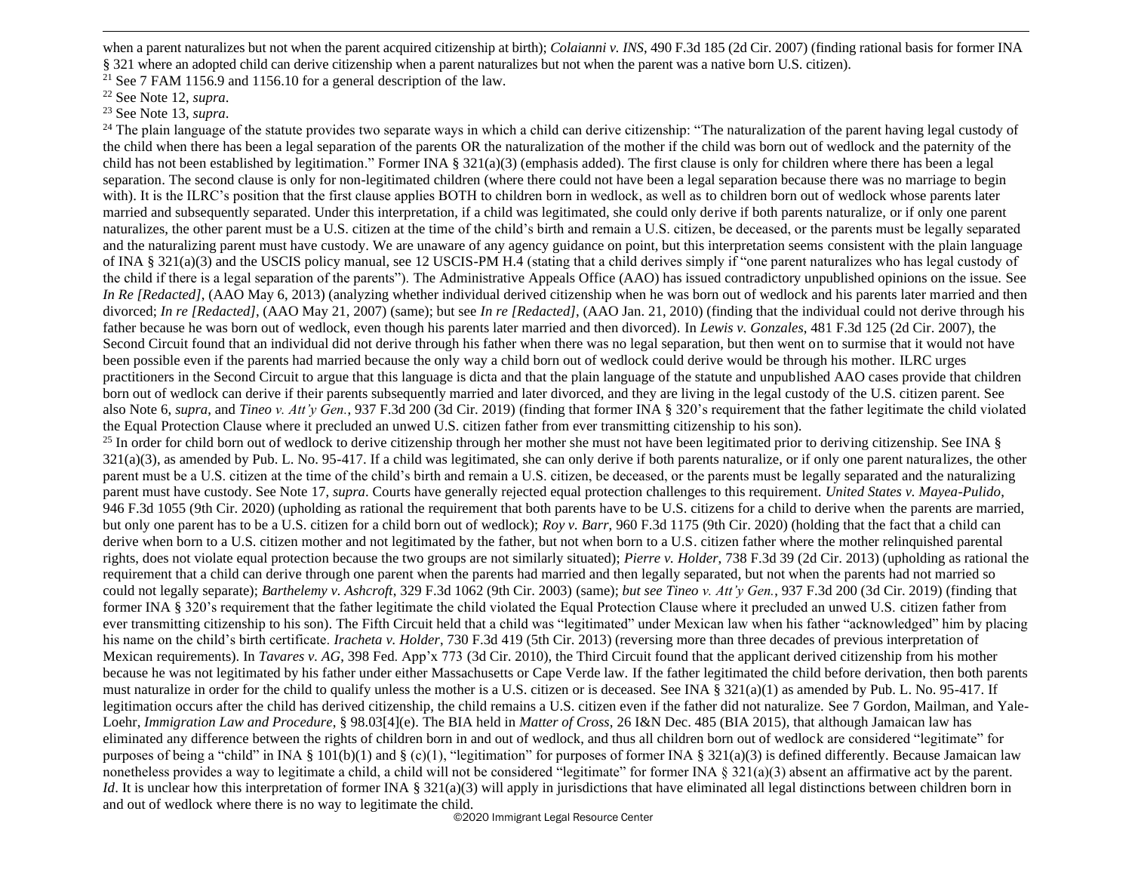when a parent naturalizes but not when the parent acquired citizenship at birth); *Colaianni v. INS*, 490 F.3d 185 (2d Cir. 2007) (finding rational basis for former INA § 321 where an adopted child can derive citizenship when a parent naturalizes but not when the parent was a native born U.S. citizen).

<sup>21</sup> See 7 FAM 1156.9 and 1156.10 for a general description of the law.

<sup>22</sup> See Note 12, *supra*.

<sup>23</sup> See Note 13, *supra*.

 $24$  The plain language of the statute provides two separate ways in which a child can derive citizenship: "The naturalization of the parent having legal custody of the child when there has been a legal separation of the parents OR the naturalization of the mother if the child was born out of wedlock and the paternity of the child has not been established by legitimation." Former INA § 321(a)(3) (emphasis added). The first clause is only for children where there has been a legal separation. The second clause is only for non-legitimated children (where there could not have been a legal separation because there was no marriage to begin with). It is the ILRC's position that the first clause applies BOTH to children born in wedlock, as well as to children born out of wedlock whose parents later married and subsequently separated. Under this interpretation, if a child was legitimated, she could only derive if both parents naturalize, or if only one parent naturalizes, the other parent must be a U.S. citizen at the time of the child's birth and remain a U.S. citizen, be deceased, or the parents must be legally separated and the naturalizing parent must have custody. We are unaware of any agency guidance on point, but this interpretation seems consistent with the plain language of INA § 321(a)(3) and the USCIS policy manual, see 12 USCIS-PM H.4 (stating that a child derives simply if "one parent naturalizes who has legal custody of the child if there is a legal separation of the parents"). The Administrative Appeals Office (AAO) has issued contradictory unpublished opinions on the issue. See *In Re [Redacted]*, (AAO May 6, 2013) (analyzing whether individual derived citizenship when he was born out of wedlock and his parents later married and then divorced; *In re [Redacted]*, (AAO May 21, 2007) (same); but see *In re [Redacted]*, (AAO Jan. 21, 2010) (finding that the individual could not derive through his father because he was born out of wedlock, even though his parents later married and then divorced). In *Lewis v. Gonzales*, 481 F.3d 125 (2d Cir. 2007), the Second Circuit found that an individual did not derive through his father when there was no legal separation, but then went on to surmise that it would not have been possible even if the parents had married because the only way a child born out of wedlock could derive would be through his mother. ILRC urges practitioners in the Second Circuit to argue that this language is dicta and that the plain language of the statute and unpublished AAO cases provide that children born out of wedlock can derive if their parents subsequently married and later divorced, and they are living in the legal custody of the U.S. citizen parent. See also Note 6, *supra*, and *Tineo v. Att'y Gen.*, 937 F.3d 200 (3d Cir. 2019) (finding that former INA § 320's requirement that the father legitimate the child violated the Equal Protection Clause where it precluded an unwed U.S. citizen father from ever transmitting citizenship to his son).

<sup>25</sup> In order for child born out of wedlock to derive citizenship through her mother she must not have been legitimated prior to deriving citizenship. See INA  $\S$  $321(a)(3)$ , as amended by Pub. L. No. 95-417. If a child was legitimated, she can only derive if both parents naturalize, or if only one parent naturalizes, the other parent must be a U.S. citizen at the time of the child's birth and remain a U.S. citizen, be deceased, or the parents must be legally separated and the naturalizing parent must have custody. See Note 17, *supra*. Courts have generally rejected equal protection challenges to this requirement. *United States v. Mayea-Pulido*, 946 F.3d 1055 (9th Cir. 2020) (upholding as rational the requirement that both parents have to be U.S. citizens for a child to derive when the parents are married, but only one parent has to be a U.S. citizen for a child born out of wedlock); *Roy v. Barr*, 960 F.3d 1175 (9th Cir. 2020) (holding that the fact that a child can derive when born to a U.S. citizen mother and not legitimated by the father, but not when born to a U.S. citizen father where the mother relinquished parental rights, does not violate equal protection because the two groups are not similarly situated); *Pierre v. Holder*, 738 F.3d 39 (2d Cir. 2013) (upholding as rational the requirement that a child can derive through one parent when the parents had married and then legally separated, but not when the parents had not married so could not legally separate); *Barthelemy v. Ashcroft*, 329 F.3d 1062 (9th Cir. 2003) (same); *but see Tineo v. Att'y Gen.*, 937 F.3d 200 (3d Cir. 2019) (finding that former INA § 320's requirement that the father legitimate the child violated the Equal Protection Clause where it precluded an unwed U.S. citizen father from ever transmitting citizenship to his son). The Fifth Circuit held that a child was "legitimated" under Mexican law when his father "acknowledged" him by placing his name on the child's birth certificate. *Iracheta v. Holder*, 730 F.3d 419 (5th Cir. 2013) (reversing more than three decades of previous interpretation of Mexican requirements). In *Tavares v. AG*, 398 Fed. App'x 773 (3d Cir. 2010), the Third Circuit found that the applicant derived citizenship from his mother because he was not legitimated by his father under either Massachusetts or Cape Verde law. If the father legitimated the child before derivation, then both parents must naturalize in order for the child to qualify unless the mother is a U.S. citizen or is deceased. See INA  $\S 321(a)(1)$  as amended by Pub. L. No. 95-417. If legitimation occurs after the child has derived citizenship, the child remains a U.S. citizen even if the father did not naturalize. See 7 Gordon, Mailman, and Yale-Loehr, *Immigration Law and Procedure*, § 98.03[4](e). The BIA held in *Matter of Cross*, 26 I&N Dec. 485 (BIA 2015), that although Jamaican law has eliminated any difference between the rights of children born in and out of wedlock, and thus all children born out of wedlock are considered "legitimate" for purposes of being a "child" in INA § 101(b)(1) and § (c)(1), "legitimation" for purposes of former INA § 321(a)(3) is defined differently. Because Jamaican law nonetheless provides a way to legitimate a child, a child will not be considered "legitimate" for former INA  $\S 321(a)(3)$  absent an affirmative act by the parent. *Id*. It is unclear how this interpretation of former INA § 321(a)(3) will apply in jurisdictions that have eliminated all legal distinctions between children born in and out of wedlock where there is no way to legitimate the child.

©2020 Immigrant Legal Resource Center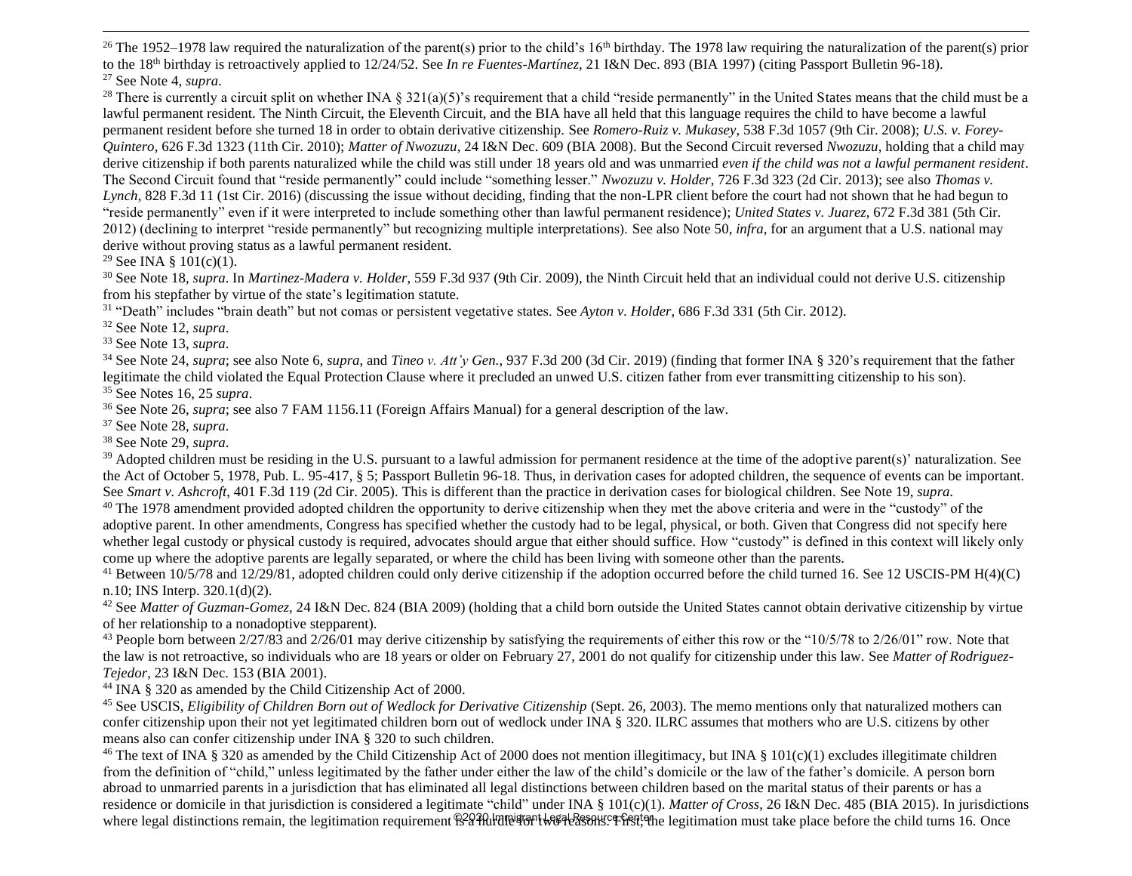<sup>26</sup> The 1952–1978 law required the naturalization of the parent(s) prior to the child's 16<sup>th</sup> birthday. The 1978 law requiring the naturalization of the parent(s) prior to the 18th birthday is retroactively applied to 12/24/52. See *In re Fuentes-Martínez*, 21 I&N Dec. 893 (BIA 1997) (citing Passport Bulletin 96-18). <sup>27</sup> See Note 4, *supra*.

<sup>28</sup> There is currently a circuit split on whether INA § 321(a)(5)'s requirement that a child "reside permanently" in the United States means that the child must be a lawful permanent resident. The Ninth Circuit, the Eleventh Circuit, and the BIA have all held that this language requires the child to have become a lawful permanent resident before she turned 18 in order to obtain derivative citizenship. See *Romero-Ruiz v. Mukasey*, 538 F.3d 1057 (9th Cir. 2008); *U.S. v. Forey-Quintero*, 626 F.3d 1323 (11th Cir. 2010); *Matter of Nwozuzu*, 24 I&N Dec. 609 (BIA 2008). But the Second Circuit reversed *Nwozuzu*, holding that a child may derive citizenship if both parents naturalized while the child was still under 18 years old and was unmarried *even if the child was not a lawful permanent resident*. The Second Circuit found that "reside permanently" could include "something lesser." *Nwozuzu v. Holder*, 726 F.3d 323 (2d Cir. 2013); see also *Thomas v. Lynch*, 828 F.3d 11 (1st Cir. 2016) (discussing the issue without deciding, finding that the non-LPR client before the court had not shown that he had begun to "reside permanently" even if it were interpreted to include something other than lawful permanent residence); *United States v. Juarez*, 672 F.3d 381 (5th Cir. 2012) (declining to interpret "reside permanently" but recognizing multiple interpretations). See also Note 50, *infra*, for an argument that a U.S. national may derive without proving status as a lawful permanent resident.

<sup>29</sup> See INA §  $101(c)(1)$ .

<sup>30</sup> See Note 18, *supra*. In *Martinez-Madera v. Holder*, 559 F.3d 937 (9th Cir. 2009), the Ninth Circuit held that an individual could not derive U.S. citizenship from his stepfather by virtue of the state's legitimation statute.

<sup>31</sup> "Death" includes "brain death" but not comas or persistent vegetative states. See *Ayton v. Holder*, 686 F.3d 331 (5th Cir. 2012).

<sup>32</sup> See Note 12, *supra*.

<sup>33</sup> See Note 13, *supra*.

<sup>34</sup> See Note 24, *supra*; see also Note 6, *supra*, and *Tineo v. Att'y Gen.*, 937 F.3d 200 (3d Cir. 2019) (finding that former INA § 320's requirement that the father legitimate the child violated the Equal Protection Clause where it precluded an unwed U.S. citizen father from ever transmitting citizenship to his son). <sup>35</sup> See Notes 16, 25 *supra*.

<sup>36</sup> See Note 26, *supra*; see also 7 FAM 1156.11 (Foreign Affairs Manual) for a general description of the law.

<sup>37</sup> See Note 28, *supra*.

<sup>38</sup> See Note 29, *supra*.

 $39$  Adopted children must be residing in the U.S. pursuant to a lawful admission for permanent residence at the time of the adoptive parent(s)' naturalization. See the Act of October 5, 1978, Pub. L. 95-417, § 5; Passport Bulletin 96-18. Thus, in derivation cases for adopted children, the sequence of events can be important. See *Smart v. Ashcroft*, 401 F.3d 119 (2d Cir. 2005). This is different than the practice in derivation cases for biological children. See Note 19, *supra*.

<sup>40</sup> The 1978 amendment provided adopted children the opportunity to derive citizenship when they met the above criteria and were in the "custody" of the adoptive parent. In other amendments, Congress has specified whether the custody had to be legal, physical, or both. Given that Congress did not specify here whether legal custody or physical custody is required, advocates should argue that either should suffice. How "custody" is defined in this context will likely only come up where the adoptive parents are legally separated, or where the child has been living with someone other than the parents.

<sup>41</sup> Between 10/5/78 and 12/29/81, adopted children could only derive citizenship if the adoption occurred before the child turned 16. See 12 USCIS-PM H(4)(C) n.10; INS Interp. 320.1(d)(2).

<sup>42</sup> See *Matter of Guzman-Gomez*, 24 I&N Dec. 824 (BIA 2009) (holding that a child born outside the United States cannot obtain derivative citizenship by virtue of her relationship to a nonadoptive stepparent).

<sup>43</sup> People born between  $2/27/83$  and  $2/26/01$  may derive citizenship by satisfying the requirements of either this row or the " $10/5/78$  to  $2/26/01$ " row. Note that the law is not retroactive, so individuals who are 18 years or older on February 27, 2001 do not qualify for citizenship under this law. See *Matter of Rodriguez-Tejedor*, 23 I&N Dec. 153 (BIA 2001).

<sup>44</sup> INA § 320 as amended by the Child Citizenship Act of 2000.

<sup>45</sup> See USCIS, *Eligibility of Children Born out of Wedlock for Derivative Citizenship* (Sept. 26, 2003). The memo mentions only that naturalized mothers can confer citizenship upon their not yet legitimated children born out of wedlock under INA § 320. ILRC assumes that mothers who are U.S. citizens by other means also can confer citizenship under INA § 320 to such children.

where legal distinctions remain, the legitimation requirement  $R^2d^2h$  metal for two reasons. First, the legitimation must take place before the child turns 16. Once <sup>46</sup> The text of INA § 320 as amended by the Child Citizenship Act of 2000 does not mention illegitimacy, but INA § 101(c)(1) excludes illegitimate children from the definition of "child," unless legitimated by the father under either the law of the child's domicile or the law of the father's domicile. A person born abroad to unmarried parents in a jurisdiction that has eliminated all legal distinctions between children based on the marital status of their parents or has a residence or domicile in that jurisdiction is considered a legitimate "child" under INA § 101(c)(1). *Matter of Cross*, 26 I&N Dec. 485 (BIA 2015). In jurisdictions